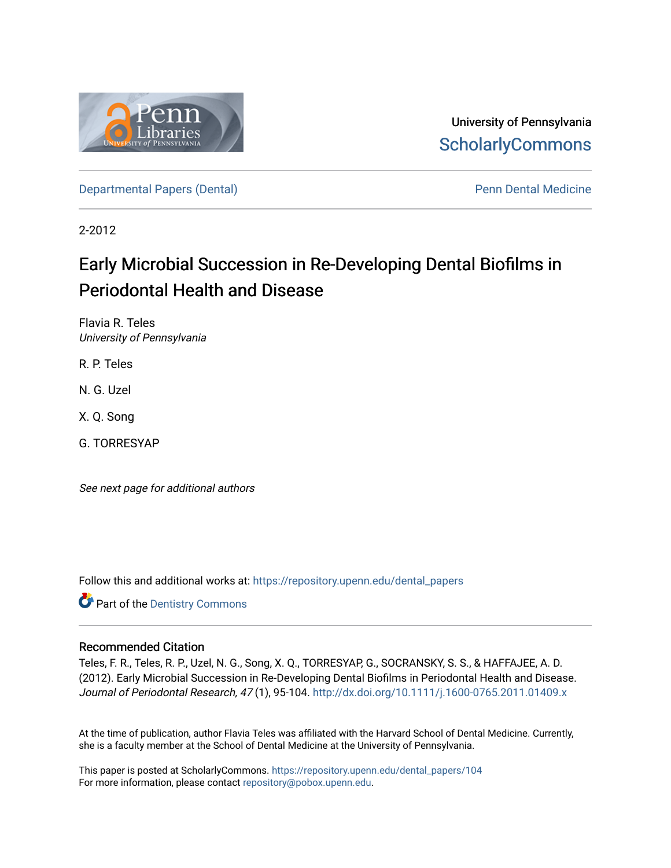

University of Pennsylvania **ScholarlyCommons** 

[Departmental Papers \(Dental\)](https://repository.upenn.edu/dental_papers) and Europe and Penn Dental Medicine

2-2012

# Early Microbial Succession in Re-Developing Dental Biofilms in Periodontal Health and Disease

Flavia R. Teles University of Pennsylvania

R. P. Teles

N. G. Uzel

X. Q. Song

G. TORRESYAP

See next page for additional authors

Follow this and additional works at: [https://repository.upenn.edu/dental\\_papers](https://repository.upenn.edu/dental_papers?utm_source=repository.upenn.edu%2Fdental_papers%2F104&utm_medium=PDF&utm_campaign=PDFCoverPages)

**Part of the Dentistry Commons** 

## Recommended Citation

Teles, F. R., Teles, R. P., Uzel, N. G., Song, X. Q., TORRESYAP, G., SOCRANSKY, S. S., & HAFFAJEE, A. D. (2012). Early Microbial Succession in Re-Developing Dental Biofilms in Periodontal Health and Disease. Journal of Periodontal Research, 47 (1), 95-104. <http://dx.doi.org/10.1111/j.1600-0765.2011.01409.x>

At the time of publication, author Flavia Teles was affiliated with the Harvard School of Dental Medicine. Currently, she is a faculty member at the School of Dental Medicine at the University of Pennsylvania.

This paper is posted at ScholarlyCommons. [https://repository.upenn.edu/dental\\_papers/104](https://repository.upenn.edu/dental_papers/104)  For more information, please contact [repository@pobox.upenn.edu.](mailto:repository@pobox.upenn.edu)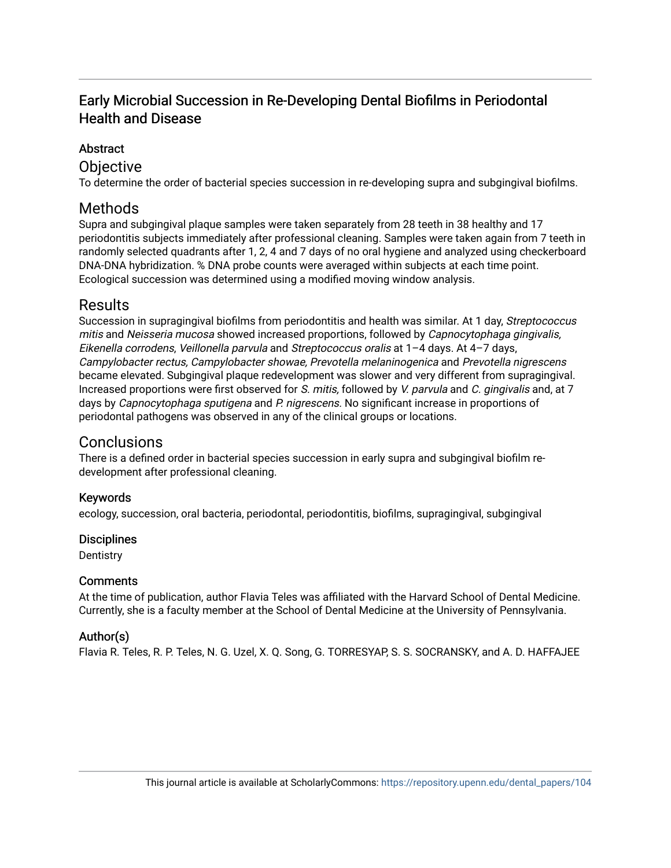# Early Microbial Succession in Re-Developing Dental Biofilms in Periodontal Health and Disease

## Abstract

## **Objective**

To determine the order of bacterial species succession in re-developing supra and subgingival biofilms.

# Methods

Supra and subgingival plaque samples were taken separately from 28 teeth in 38 healthy and 17 periodontitis subjects immediately after professional cleaning. Samples were taken again from 7 teeth in randomly selected quadrants after 1, 2, 4 and 7 days of no oral hygiene and analyzed using checkerboard DNA-DNA hybridization. % DNA probe counts were averaged within subjects at each time point. Ecological succession was determined using a modified moving window analysis.

# Results

Succession in supragingival biofilms from periodontitis and health was similar. At 1 day, Streptococcus mitis and Neisseria mucosa showed increased proportions, followed by Capnocytophaga gingivalis, Eikenella corrodens, Veillonella parvula and Streptococcus oralis at 1–4 days. At 4–7 days, Campylobacter rectus, Campylobacter showae, Prevotella melaninogenica and Prevotella nigrescens became elevated. Subgingival plaque redevelopment was slower and very different from supragingival. Increased proportions were first observed for S. mitis, followed by V. parvula and C. gingivalis and, at 7 days by Capnocytophaga sputigena and P. nigrescens. No significant increase in proportions of periodontal pathogens was observed in any of the clinical groups or locations.

# Conclusions

There is a defined order in bacterial species succession in early supra and subgingival biofilm redevelopment after professional cleaning.

## Keywords

ecology, succession, oral bacteria, periodontal, periodontitis, biofilms, supragingival, subgingival

## **Disciplines**

**Dentistry** 

## **Comments**

At the time of publication, author Flavia Teles was affiliated with the Harvard School of Dental Medicine. Currently, she is a faculty member at the School of Dental Medicine at the University of Pennsylvania.

## Author(s)

Flavia R. Teles, R. P. Teles, N. G. Uzel, X. Q. Song, G. TORRESYAP, S. S. SOCRANSKY, and A. D. HAFFAJEE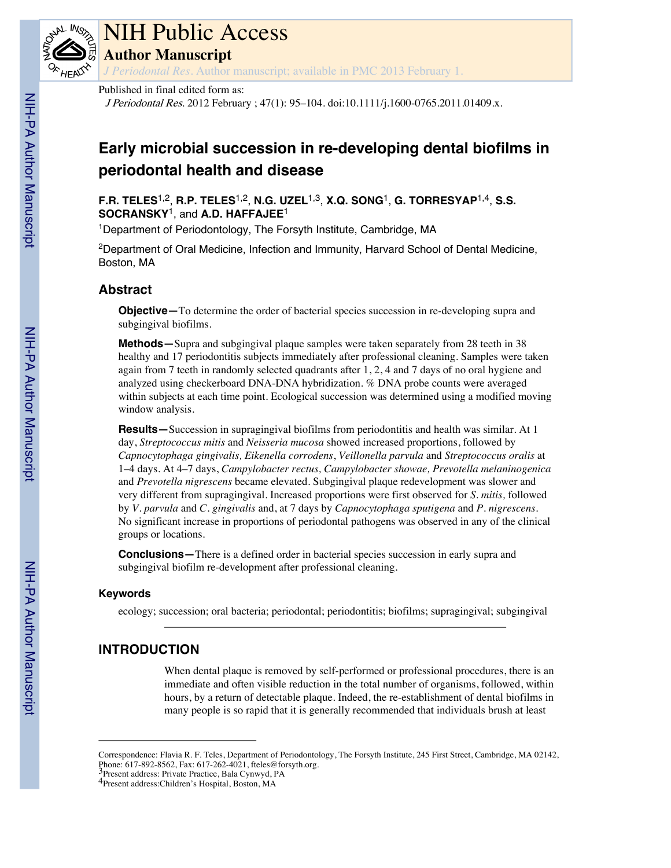

# NIH Public Access

**Author Manuscript**

*J Periodontal Res*. Author manuscript; available in PMC 2013 February 1.

#### Published in final edited form as:

<sup>J</sup> <sup>P</sup>eriodonta<sup>l</sup> <sup>R</sup>e<sup>s</sup>. 2012 February ; 47(1): 95–104. doi:10.1111/j.1600-0765.2011.01409.x.

# **Early microbial succession in re-developing dental biofilms in periodontal health and disease**

**F.R. TELES**1,2 , **R.P. TELES**1,2 , **N.G. UZEL**1,3 , **X.Q. SONG**<sup>1</sup> , **G. TORRESYAP**1,4 , **S.S. SOCRANSKY**<sup>1</sup> , and **A.D. HAFFAJEE**<sup>1</sup>

1Department of Periodontology, The Forsyth Institute, Cambridge, MA

2Department of Oral Medicine, Infection and Immunity, Harvard School of Dental Medicine, Boston, MA

## **Abstract**

**Objective—**To determine the order of bacterial species succession in re-developing supra and subgingival biofilms.

**Methods—**Supra and subgingival plaque samples were taken separately from 28 teeth in 38 healthy and 17 periodontitis subjects immediately after professional cleaning. Samples were taken again from 7 teeth in randomly selected quadrants after 1, 2, 4 and 7 days of no oral hygiene and analyzed using checkerboard DNA-DNA hybridization. % DNA probe counts were averaged within subjects at each time point. Ecological succession was determined using a modified moving window analysis.

**Results—**Succession in supragingival biofilms from periodontitis and health was similar. At 1 day, *Streptococcus mitis* and *Neisseria mucosa* showed increased proportions, followed by *Capnocytophaga gingivalis, Eikenella corrodens*, *Veillonella parvula* and *Streptococcus oralis* at 1–4 days. At 4–7 days, *Campylobacter rectus, Campylobacter showae, Prevotella melaninogenica* and *Prevotella nigrescens* became elevated. Subgingival plaque redevelopment was slower and very different from supragingival. Increased proportions were first observed for *S. mitis,* followed by *V. parvula* and *C. gingivalis* and, at 7 days by *Capnocytophaga sputigena* and *P. nigrescens.* No significant increase in proportions of periodontal pathogens was observed in any of the clinical groups or locations.

**Conclusions—**There is a defined order in bacterial species succession in early supra and subgingival biofilm re-development after professional cleaning.

### **Keywords**

ecology; succession; oral bacteria; periodontal; periodontitis; biofilms; supragingival; subgingival

## **INTRODUCTION**

When dental plaque is removed by self-performed or professional procedures, there is an immediate and often visible reduction in the total number of organisms, followed, within hours, by a return of detectable plaque. Indeed, the re-establishment of dental biofilms in many people is so rapid that it is generally recommended that individuals brush at least

Correspondence: Flavia R. F. Teles, Department of Periodontology, The Forsyth Institute, 245 First Street, Cambridge, MA 02142, Phone: 617-892-8562, Fax: 617-262-4021, fteles@forsyth.org. 3Present address: Private Practice, Bala Cynwyd, PA

<sup>4</sup>Present address:Children's Hospital, Boston, MA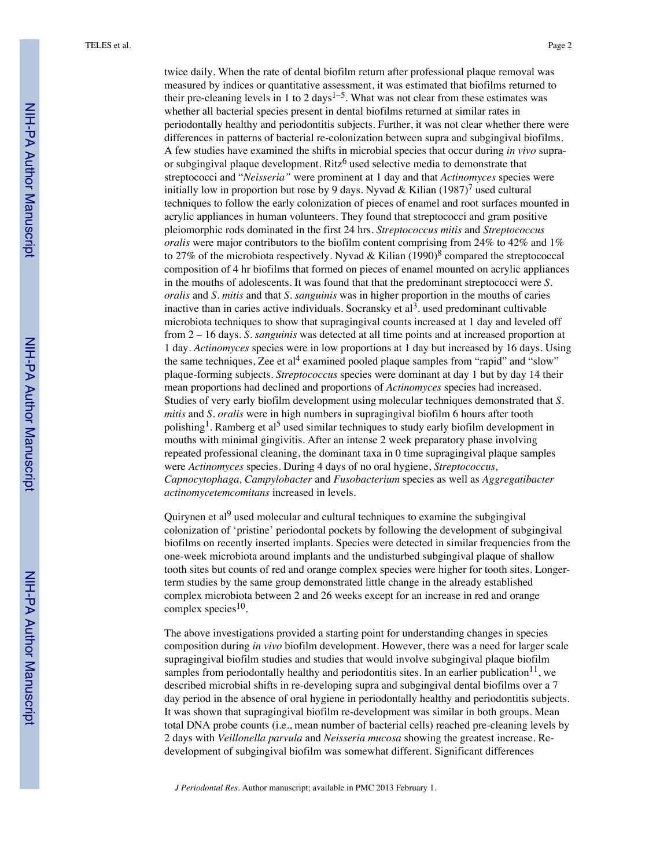twice daily. When the rate of dental biofilm return after professional plaque removal was measured by indices or quantitative assessment, it was estimated that biofilms returned to their pre-cleaning levels in 1 to 2 days<sup>1-5</sup>. What was not clear from these estimates was whether all bacterial species present in dental biofilms returned at similar rates in periodontally healthy and periodontitis subjects. Further, it was not clear whether there were differences in patterns of bacterial re-colonization between supra and subgingival biofilms. A few studies have examined the shifts in microbial species that occur during *in vivo* supraor subgingival plaque development. Ritz<sup>6</sup> used selective media to demonstrate that streptococci and "*Neisseria"* were prominent at 1 day and that *Actinomyces* species were initially low in proportion but rose by 9 days. Nyvad & Kilian (1987)<sup>7</sup> used cultural techniques to follow the early colonization of pieces of enamel and root surfaces mounted in acrylic appliances in human volunteers. They found that streptococci and gram positive pleiomorphic rods dominated in the first 24 hrs. *Streptococcus mitis* and *Streptococcus oralis* were major contributors to the biofilm content comprising from 24% to 42% and 1% to 27% of the microbiota respectively. Nyvad & Kilian (1990)<sup>8</sup> compared the streptococcal composition of 4 hr biofilms that formed on pieces of enamel mounted on acrylic appliances in the mouths of adolescents. It was found that that the predominant streptococci were *S. oralis* and *S. mitis* and that *S. sanguinis* was in higher proportion in the mouths of caries inactive than in caries active individuals. Socransky et  $al^3$  used predominant cultivable microbiota techniques to show that supragingival counts increased at 1 day and leveled off from 2 – 16 days. *S. sanguinis* was detected at all time points and at increased proportion at 1 day. *Actinomyces* species were in low proportions at 1 day but increased by 16 days. Using the same techniques, Zee et al<sup>4</sup> examined pooled plaque samples from "rapid" and "slow" plaque-forming subjects. *Streptococcus* species were dominant at day 1 but by day 14 their mean proportions had declined and proportions of *Actinomyces* species had increased. Studies of very early biofilm development using molecular techniques demonstrated that *S. mitis* and *S. oralis* were in high numbers in supragingival biofilm 6 hours after tooth polishing<sup>1</sup>. Ramberg et al<sup>5</sup> used similar techniques to study early biofilm development in mouths with minimal gingivitis. After an intense 2 week preparatory phase involving repeated professional cleaning, the dominant taxa in 0 time supragingival plaque samples were *Actinomyces* species. During 4 days of no oral hygiene, *Streptococcus, Capnocytophaga, Campylobacter* and *Fusobacterium* species as well as *Aggregatibacter actinomycetemcomitans* increased in levels.

Quirynen et al<sup>9</sup> used molecular and cultural techniques to examine the subgingival colonization of 'pristine' periodontal pockets by following the development of subgingival biofilms on recently inserted implants. Species were detected in similar frequencies from the one-week microbiota around implants and the undisturbed subgingival plaque of shallow tooth sites but counts of red and orange complex species were higher for tooth sites. Longerterm studies by the same group demonstrated little change in the already established complex microbiota between 2 and 26 weeks except for an increase in red and orange complex species $10$ .

The above investigations provided a starting point for understanding changes in species composition during *in vivo* biofilm development. However, there was a need for larger scale supragingival biofilm studies and studies that would involve subgingival plaque biofilm samples from periodontally healthy and periodontitis sites. In an earlier publication $^{11}$ , we described microbial shifts in re-developing supra and subgingival dental biofilms over a 7 day period in the absence of oral hygiene in periodontally healthy and periodontitis subjects. It was shown that supragingival biofilm re-development was similar in both groups. Mean total DNA probe counts (i.e., mean number of bacterial cells) reached pre-cleaning levels by 2 days with *Veillonella parvula* and *Neisseria mucosa* showing the greatest increase. Redevelopment of subgingival biofilm was somewhat different. Significant differences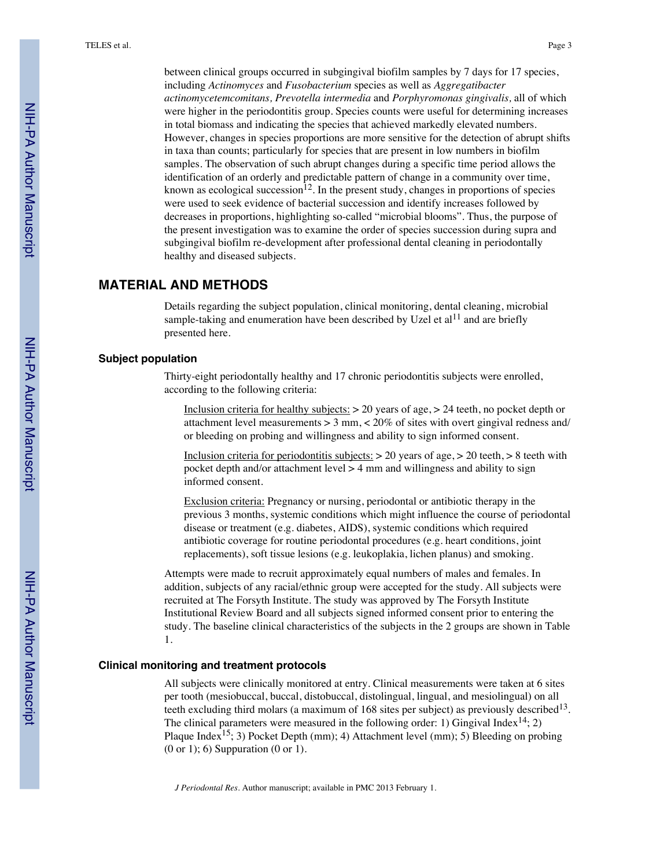between clinical groups occurred in subgingival biofilm samples by 7 days for 17 species, including *Actinomyces* and *Fusobacterium* species as well as *Aggregatibacter actinomycetemcomitans, Prevotella intermedia* and *Porphyromonas gingivalis,* all of which were higher in the periodontitis group. Species counts were useful for determining increases in total biomass and indicating the species that achieved markedly elevated numbers. However, changes in species proportions are more sensitive for the detection of abrupt shifts in taxa than counts; particularly for species that are present in low numbers in biofilm samples. The observation of such abrupt changes during a specific time period allows the identification of an orderly and predictable pattern of change in a community over time, known as ecological succession<sup>12</sup>. In the present study, changes in proportions of species were used to seek evidence of bacterial succession and identify increases followed by decreases in proportions, highlighting so-called "microbial blooms". Thus, the purpose of the present investigation was to examine the order of species succession during supra and subgingival biofilm re-development after professional dental cleaning in periodontally healthy and diseased subjects.

## **MATERIAL AND METHODS**

Details regarding the subject population, clinical monitoring, dental cleaning, microbial sample-taking and enumeration have been described by Uzel et al $^{11}$  and are briefly presented here.

#### **Subject population**

Thirty-eight periodontally healthy and 17 chronic periodontitis subjects were enrolled, according to the following criteria:

Inclusion criteria for healthy subjects:  $> 20$  years of age,  $> 24$  teeth, no pocket depth or attachment level measurements  $> 3$  mm,  $< 20\%$  of sites with overt gingival redness and/ or bleeding on probing and willingness and ability to sign informed consent.

Inclusion criteria for periodontitis subjects:  $> 20$  years of age,  $> 20$  teeth,  $> 8$  teeth with pocket depth and/or attachment level  $> 4$  mm and willingness and ability to sign informed consent.

Exclusion criteria: Pregnancy or nursing, periodontal or antibiotic therapy in the previous 3 months, systemic conditions which might influence the course of periodontal disease or treatment (e.g. diabetes, AIDS), systemic conditions which required antibiotic coverage for routine periodontal procedures (e.g. heart conditions, joint replacements), soft tissue lesions (e.g. leukoplakia, lichen planus) and smoking.

Attempts were made to recruit approximately equal numbers of males and females. In addition, subjects of any racial/ethnic group were accepted for the study. All subjects were recruited at The Forsyth Institute. The study was approved by The Forsyth Institute Institutional Review Board and all subjects signed informed consent prior to entering the study. The baseline clinical characteristics of the subjects in the 2 groups are shown in Table 1.

#### **Clinical monitoring and treatment protocols**

All subjects were clinically monitored at entry. Clinical measurements were taken at 6 sites per tooth (mesiobuccal, buccal, distobuccal, distolingual, lingual, and mesiolingual) on all teeth excluding third molars (a maximum of 168 sites per subject) as previously described<sup>13</sup>. The clinical parameters were measured in the following order: 1) Gingival Index<sup>14</sup>; 2) Plaque Index<sup>15</sup>; 3) Pocket Depth (mm); 4) Attachment level (mm); 5) Bleeding on probing (0 or 1); 6) Suppuration (0 or 1).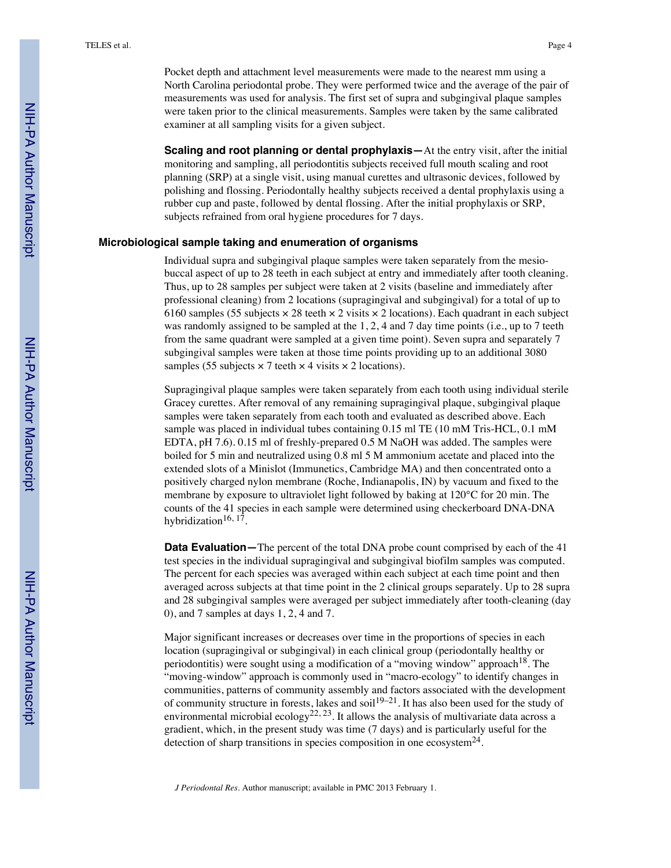Pocket depth and attachment level measurements were made to the nearest mm using a North Carolina periodontal probe. They were performed twice and the average of the pair of measurements was used for analysis. The first set of supra and subgingival plaque samples were taken prior to the clinical measurements. Samples were taken by the same calibrated examiner at all sampling visits for a given subject.

**Scaling and root planning or dental prophylaxis—**At the entry visit, after the initial monitoring and sampling, all periodontitis subjects received full mouth scaling and root planning (SRP) at a single visit, using manual curettes and ultrasonic devices, followed by polishing and flossing. Periodontally healthy subjects received a dental prophylaxis using a rubber cup and paste, followed by dental flossing. After the initial prophylaxis or SRP, subjects refrained from oral hygiene procedures for 7 days.

#### **Microbiological sample taking and enumeration of organisms**

Individual supra and subgingival plaque samples were taken separately from the mesiobuccal aspect of up to 28 teeth in each subject at entry and immediately after tooth cleaning. Thus, up to 28 samples per subject were taken at 2 visits (baseline and immediately after professional cleaning) from 2 locations (supragingival and subgingival) for a total of up to 6160 samples (55 subjects  $\times$  28 teeth  $\times$  2 visits  $\times$  2 locations). Each quadrant in each subject was randomly assigned to be sampled at the 1, 2, 4 and 7 day time points (i.e., up to 7 teeth from the same quadrant were sampled at a given time point). Seven supra and separately 7 subgingival samples were taken at those time points providing up to an additional 3080 samples (55 subjects  $\times$  7 teeth  $\times$  4 visits  $\times$  2 locations).

Supragingival plaque samples were taken separately from each tooth using individual sterile Gracey curettes. After removal of any remaining supragingival plaque, subgingival plaque samples were taken separately from each tooth and evaluated as described above. Each sample was placed in individual tubes containing 0.15 ml TE (10 mM Tris-HCL, 0.1 mM EDTA, pH 7.6). 0.15 ml of freshly-prepared 0.5 M NaOH was added. The samples were boiled for 5 min and neutralized using 0.8 ml 5 M ammonium acetate and placed into the extended slots of a Minislot (Immunetics, Cambridge MA) and then concentrated onto a positively charged nylon membrane (Roche, Indianapolis, IN) by vacuum and fixed to the membrane by exposure to ultraviolet light followed by baking at 120°C for 20 min. The counts of the 41 species in each sample were determined using checkerboard DNA-DNA hybridization<sup>16, 17</sup>.

**Data Evaluation—**The percent of the total DNA probe count comprised by each of the 41 test species in the individual supragingival and subgingival biofilm samples was computed. The percent for each species was averaged within each subject at each time point and then averaged across subjects at that time point in the 2 clinical groups separately. Up to 28 supra and 28 subgingival samples were averaged per subject immediately after tooth-cleaning (day 0), and 7 samples at days 1, 2, 4 and 7.

Major significant increases or decreases over time in the proportions of species in each location (supragingival or subgingival) in each clinical group (periodontally healthy or periodontitis) were sought using a modification of a "moving window" approach<sup>18</sup>. The "moving-window" approach is commonly used in "macro-ecology" to identify changes in communities, patterns of community assembly and factors associated with the development of community structure in forests, lakes and soil<sup>19–21</sup>. It has also been used for the study of environmental microbial ecology<sup>22, 23</sup>. It allows the analysis of multivariate data across a gradient, which, in the present study was time (7 days) and is particularly useful for the detection of sharp transitions in species composition in one ecosystem<sup>24</sup>.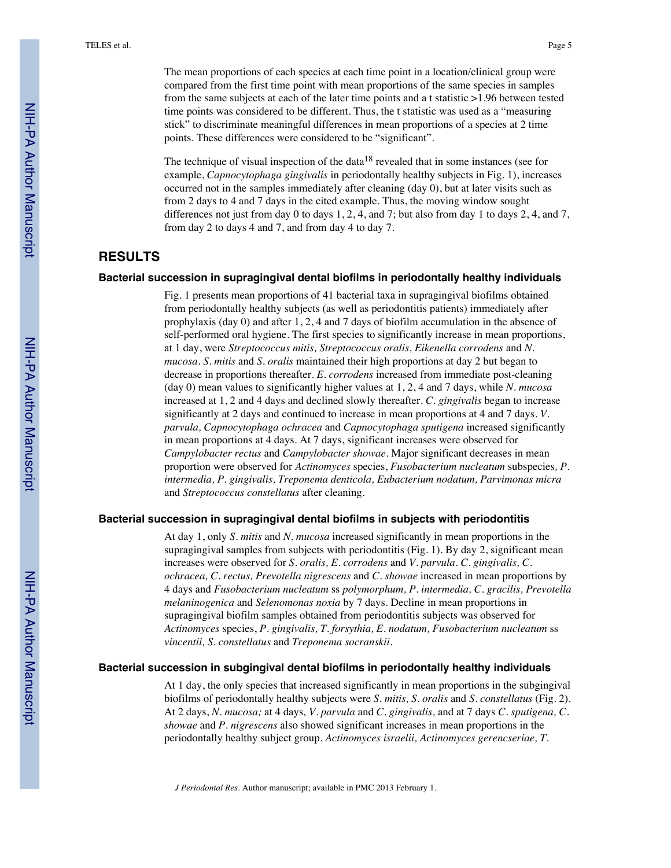The mean proportions of each species at each time point in a location/clinical group were compared from the first time point with mean proportions of the same species in samples from the same subjects at each of the later time points and a t statistic >1.96 between tested time points was considered to be different. Thus, the t statistic was used as a "measuring stick" to discriminate meaningful differences in mean proportions of a species at 2 time points. These differences were considered to be "significant".

The technique of visual inspection of the data<sup>18</sup> revealed that in some instances (see for example, *Capnocytophaga gingivalis* in periodontally healthy subjects in Fig. 1), increases occurred not in the samples immediately after cleaning (day 0), but at later visits such as from 2 days to 4 and 7 days in the cited example. Thus, the moving window sought differences not just from day 0 to days 1, 2, 4, and 7; but also from day 1 to days 2, 4, and 7, from day 2 to days 4 and 7, and from day 4 to day 7.

## **RESULTS**

#### **Bacterial succession in supragingival dental biofilms in periodontally healthy individuals**

Fig. 1 presents mean proportions of 41 bacterial taxa in supragingival biofilms obtained from periodontally healthy subjects (as well as periodontitis patients) immediately after prophylaxis (day 0) and after 1, 2, 4 and 7 days of biofilm accumulation in the absence of self-performed oral hygiene. The first species to significantly increase in mean proportions, at 1 day, were *Streptococcus mitis, Streptococcus oralis, Eikenella corrodens* and *N. mucosa. S. mitis* and *S. oralis* maintained their high proportions at day 2 but began to decrease in proportions thereafter. *E. corrodens* increased from immediate post-cleaning (day 0) mean values to significantly higher values at 1, 2, 4 and 7 days, while *N. mucosa* increased at 1, 2 and 4 days and declined slowly thereafter. *C. gingivalis* began to increase significantly at 2 days and continued to increase in mean proportions at 4 and 7 days. *V. parvula, Capnocytophaga ochracea* and *Capnocytophaga sputigena* increased significantly in mean proportions at 4 days. At 7 days, significant increases were observed for *Campylobacter rectus* and *Campylobacter showae*. Major significant decreases in mean proportion were observed for *Actinomyces* species, *Fusobacterium nucleatum* subspecies*, P. intermedia, P. gingivalis, Treponema denticola, Eubacterium nodatum, Parvimonas micra* and *Streptococcus constellatus* after cleaning.

#### **Bacterial succession in supragingival dental biofilms in subjects with periodontitis**

At day 1, only *S. mitis* and *N. mucosa* increased significantly in mean proportions in the supragingival samples from subjects with periodontitis (Fig. 1). By day 2, significant mean increases were observed for *S. oralis, E. corrodens* and *V. parvula. C. gingivalis, C. ochracea, C. rectus, Prevotella nigrescens* and *C. showae* increased in mean proportions by 4 days and *Fusobacterium nucleatum* ss *polymorphum, P. intermedia, C. gracilis, Prevotella melaninogenica* and *Selenomonas noxia* by 7 days. Decline in mean proportions in supragingival biofilm samples obtained from periodontitis subjects was observed for *Actinomyces* species, *P. gingivalis, T. forsythia, E. nodatum, Fusobacterium nucleatum* ss *vincentii, S. constellatus* and *Treponema socranskii.*

#### **Bacterial succession in subgingival dental biofilms in periodontally healthy individuals**

At 1 day, the only species that increased significantly in mean proportions in the subgingival biofilms of periodontally healthy subjects were *S. mitis, S. oralis* and *S. constellatus* (Fig. 2). At 2 days, *N. mucosa;* at 4 days*, V. parvula* and *C. gingivalis,* and at 7 days *C. sputigena, C. showae* and *P. nigrescens* also showed significant increases in mean proportions in the periodontally healthy subject group. *Actinomyces israelii, Actinomyces gerencseriae, T.*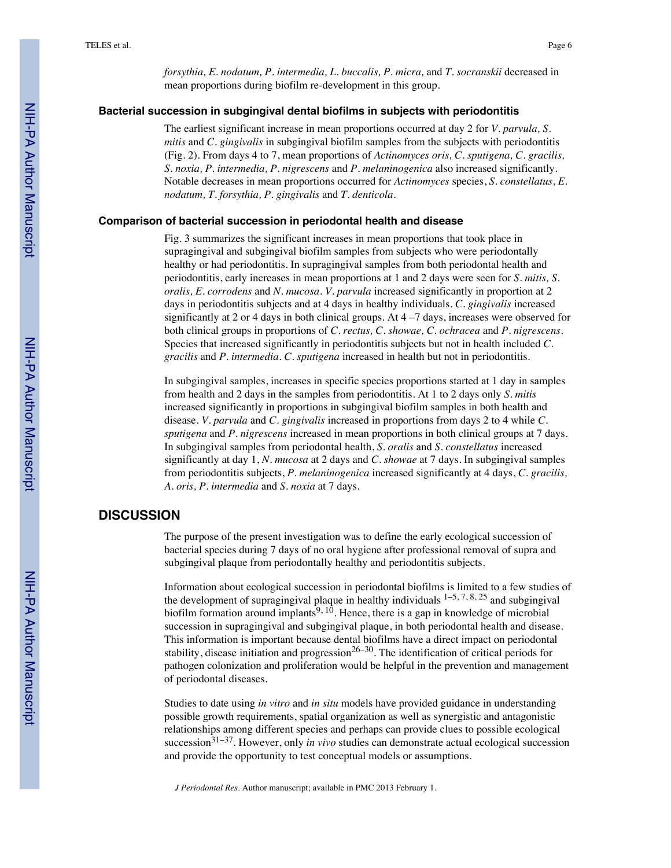*forsythia, E. nodatum, P. intermedia, L. buccalis, P. micra,* and *T. socranskii* decreased in mean proportions during biofilm re-development in this group.

#### **Bacterial succession in subgingival dental biofilms in subjects with periodontitis**

The earliest significant increase in mean proportions occurred at day 2 for *V. parvula, S. mitis* and *C. gingivalis* in subgingival biofilm samples from the subjects with periodontitis (Fig. 2). From days 4 to 7, mean proportions of *Actinomyces oris, C. sputigena, C. gracilis, S. noxia, P. intermedia, P. nigrescens* and *P. melaninogenica* also increased significantly. Notable decreases in mean proportions occurred for *Actinomyces* species, *S. constellatus*, *E. nodatum, T. forsythia, P. gingivalis* and *T. denticola*.

#### **Comparison of bacterial succession in periodontal health and disease**

Fig. 3 summarizes the significant increases in mean proportions that took place in supragingival and subgingival biofilm samples from subjects who were periodontally healthy or had periodontitis. In supragingival samples from both periodontal health and periodontitis, early increases in mean proportions at 1 and 2 days were seen for *S. mitis, S. oralis, E. corrodens* and *N. mucosa. V. parvula* increased significantly in proportion at 2 days in periodontitis subjects and at 4 days in healthy individuals. *C. gingivalis* increased significantly at 2 or 4 days in both clinical groups. At  $4 - 7$  days, increases were observed for both clinical groups in proportions of *C. rectus, C. showae, C. ochracea* and *P. nigrescens.* Species that increased significantly in periodontitis subjects but not in health included *C. gracilis* and *P. intermedia. C. sputigena* increased in health but not in periodontitis.

In subgingival samples, increases in specific species proportions started at 1 day in samples from health and 2 days in the samples from periodontitis. At 1 to 2 days only *S. mitis* increased significantly in proportions in subgingival biofilm samples in both health and disease*. V. parvula* and *C. gingivalis* increased in proportions from days 2 to 4 while *C. sputigena* and *P. nigrescens* increased in mean proportions in both clinical groups at 7 days. In subgingival samples from periodontal health, *S. oralis* and *S. constellatus* increased significantly at day 1, *N. mucosa* at 2 days and *C. showae* at 7 days. In subgingival samples from periodontitis subjects, *P. melaninogenica* increased significantly at 4 days, *C. gracilis, A. oris, P. intermedia* and *S. noxia* at 7 days.

#### **DISCUSSION**

The purpose of the present investigation was to define the early ecological succession of bacterial species during 7 days of no oral hygiene after professional removal of supra and subgingival plaque from periodontally healthy and periodontitis subjects.

Information about ecological succession in periodontal biofilms is limited to a few studies of the development of supragingival plaque in healthy individuals  $1-5, 7, 8, 25$  and subgingival biofilm formation around implants<sup>9, 10</sup>. Hence, there is a gap in knowledge of microbial succession in supragingival and subgingival plaque, in both periodontal health and disease. This information is important because dental biofilms have a direct impact on periodontal stability, disease initiation and progression<sup>26–30</sup>. The identification of critical periods for pathogen colonization and proliferation would be helpful in the prevention and management of periodontal diseases.

Studies to date using *in vitro* and *in situ* models have provided guidance in understanding possible growth requirements, spatial organization as well as synergistic and antagonistic relationships among different species and perhaps can provide clues to possible ecological succession<sup>31–37</sup>. However, only *in vivo* studies can demonstrate actual ecological succession and provide the opportunity to test conceptual models or assumptions.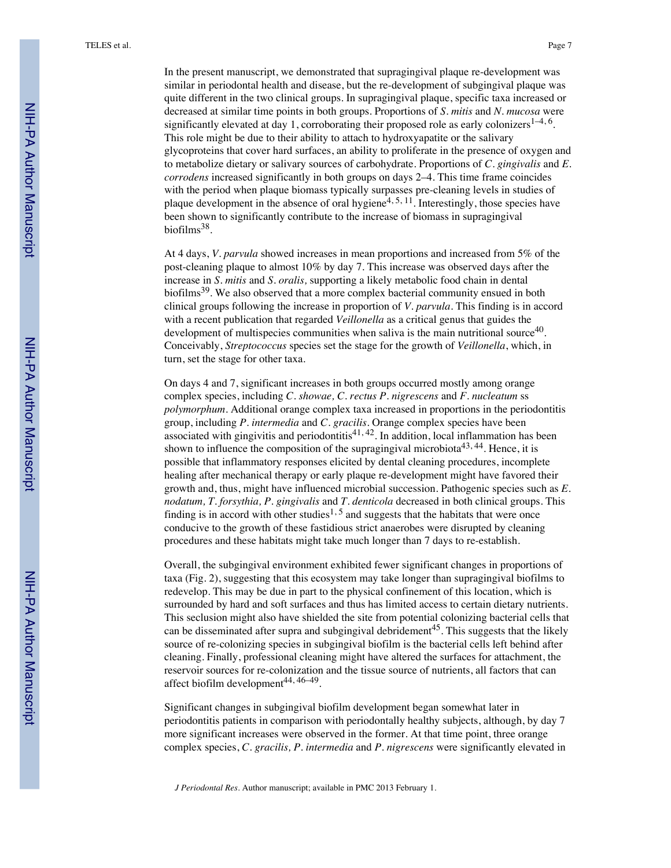In the present manuscript, we demonstrated that supragingival plaque re-development was similar in periodontal health and disease, but the re-development of subgingival plaque was quite different in the two clinical groups. In supragingival plaque, specific taxa increased or decreased at similar time points in both groups. Proportions of *S. mitis* and *N. mucosa* were significantly elevated at day 1, corroborating their proposed role as early colonizers<sup>1–4, 6</sup>. This role might be due to their ability to attach to hydroxyapatite or the salivary glycoproteins that cover hard surfaces, an ability to proliferate in the presence of oxygen and to metabolize dietary or salivary sources of carbohydrate. Proportions of *C. gingivalis* and *E. corrodens* increased significantly in both groups on days 2–4. This time frame coincides with the period when plaque biomass typically surpasses pre-cleaning levels in studies of plaque development in the absence of oral hygiene<sup>4, 5, 11</sup>. Interestingly, those species have been shown to significantly contribute to the increase of biomass in supragingival biofilms38.

At 4 days, *V. parvula* showed increases in mean proportions and increased from 5% of the post-cleaning plaque to almost 10% by day 7. This increase was observed days after the increase in *S. mitis* and *S. oralis,* supporting a likely metabolic food chain in dental biofilms<sup>39</sup>. We also observed that a more complex bacterial community ensued in both clinical groups following the increase in proportion of *V. parvula*. This finding is in accord with a recent publication that regarded *Veillonella* as a critical genus that guides the development of multispecies communities when saliva is the main nutritional source $40$ . Conceivably, *Streptococcus* species set the stage for the growth of *Veillonella*, which, in turn, set the stage for other taxa.

On days 4 and 7, significant increases in both groups occurred mostly among orange complex species, including *C. showae, C. rectus P. nigrescens* and *F. nucleatum* ss *polymorphum.* Additional orange complex taxa increased in proportions in the periodontitis group, including *P. intermedia* and *C. gracilis.* Orange complex species have been associated with gingivitis and periodontitis<sup>41, 42</sup>. In addition, local inflammation has been shown to influence the composition of the supragingival microbiota<sup>43, 44</sup>. Hence, it is possible that inflammatory responses elicited by dental cleaning procedures, incomplete healing after mechanical therapy or early plaque re-development might have favored their growth and, thus, might have influenced microbial succession. Pathogenic species such as *E. nodatum, T. forsythia, P. gingivalis* and *T. denticola* decreased in both clinical groups. This finding is in accord with other studies<sup>1, 5</sup> and suggests that the habitats that were once conducive to the growth of these fastidious strict anaerobes were disrupted by cleaning procedures and these habitats might take much longer than 7 days to re-establish.

Overall, the subgingival environment exhibited fewer significant changes in proportions of taxa (Fig. 2), suggesting that this ecosystem may take longer than supragingival biofilms to redevelop. This may be due in part to the physical confinement of this location, which is surrounded by hard and soft surfaces and thus has limited access to certain dietary nutrients. This seclusion might also have shielded the site from potential colonizing bacterial cells that can be disseminated after supra and subgingival debridement<sup>45</sup>. This suggests that the likely source of re-colonizing species in subgingival biofilm is the bacterial cells left behind after cleaning. Finally, professional cleaning might have altered the surfaces for attachment, the reservoir sources for re-colonization and the tissue source of nutrients, all factors that can affect biofilm development 44, 46–49.

Significant changes in subgingival biofilm development began somewhat later in periodontitis patients in comparison with periodontally healthy subjects, although, by day 7 more significant increases were observed in the former. At that time point, three orange complex species, *C. gracilis, P. intermedia* and *P. nigrescens* were significantly elevated in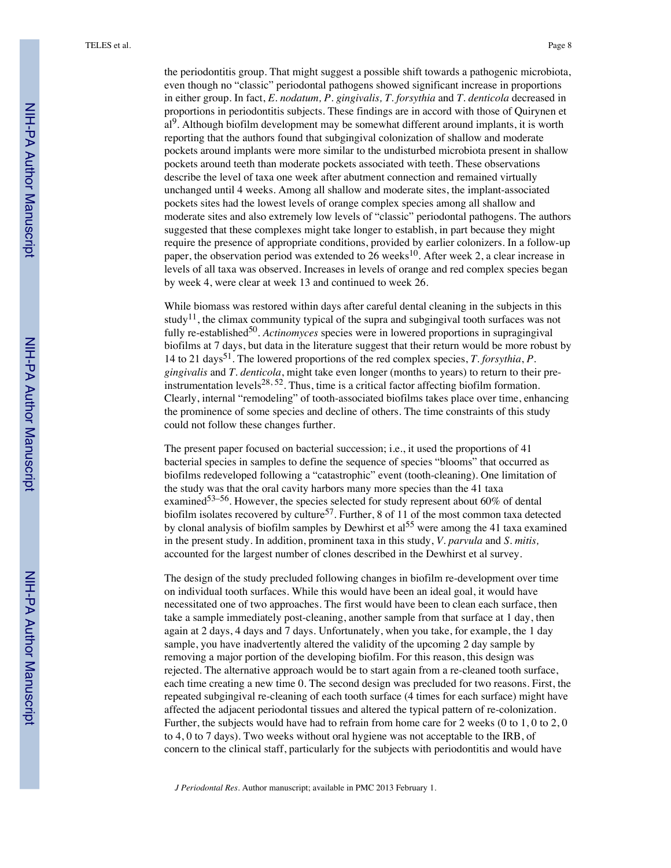the periodontitis group. That might suggest a possible shift towards a pathogenic microbiota, even though no "classic" periodontal pathogens showed significant increase in proportions in either group. In fact, *E. nodatum, P. gingivalis, T. forsythia* and *T. denticola* decreased in proportions in periodontitis subjects. These findings are in accord with those of Quirynen et al<sup>9</sup>. Although biofilm development may be somewhat different around implants, it is worth reporting that the authors found that subgingival colonization of shallow and moderate pockets around implants were more similar to the undisturbed microbiota present in shallow pockets around teeth than moderate pockets associated with teeth. These observations describe the level of taxa one week after abutment connection and remained virtually unchanged until 4 weeks. Among all shallow and moderate sites, the implant-associated pockets sites had the lowest levels of orange complex species among all shallow and moderate sites and also extremely low levels of "classic" periodontal pathogens. The authors suggested that these complexes might take longer to establish, in part because they might require the presence of appropriate conditions, provided by earlier colonizers. In a follow-up paper, the observation period was extended to 26 weeks<sup>10</sup>. After week 2, a clear increase in levels of all taxa was observed. Increases in levels of orange and red complex species began by week 4, were clear at week 13 and continued to week 26.

While biomass was restored within days after careful dental cleaning in the subjects in this study<sup>11</sup>, the climax community typical of the supra and subgingival tooth surfaces was not fully re-established<sup>50</sup>. *Actinomyces* species were in lowered proportions in supragingival biofilms at 7 days, but data in the literature suggest that their return would be more robust by 14 to 21 days51. The lowered proportions of the red complex species, *T. forsythia*, *P. gingivalis* and *T. denticola*, might take even longer (months to years) to return to their preinstrumentation levels<sup>28, 52</sup>. Thus, time is a critical factor affecting biofilm formation. Clearly, internal "remodeling" of tooth-associated biofilms takes place over time, enhancing the prominence of some species and decline of others. The time constraints of this study could not follow these changes further.

The present paper focused on bacterial succession; i.e., it used the proportions of 41 bacterial species in samples to define the sequence of species "blooms" that occurred as biofilms redeveloped following a "catastrophic" event (tooth-cleaning). One limitation of the study was that the oral cavity harbors many more species than the 41 taxa examined<sup>53–56</sup>. However, the species selected for study represent about 60% of dental biofilm isolates recovered by culture<sup>57</sup>. Further, 8 of 11 of the most common taxa detected by clonal analysis of biofilm samples by Dewhirst et al <sup>55</sup> were among the 41 taxa examined in the present study. In addition, prominent taxa in this study, *V. parvula* and *S. mitis,* accounted for the largest number of clones described in the Dewhirst et al survey.

The design of the study precluded following changes in biofilm re-development over time on individual tooth surfaces. While this would have been an ideal goal, it would have necessitated one of two approaches. The first would have been to clean each surface, then take a sample immediately post-cleaning, another sample from that surface at 1 day, then again at 2 days, 4 days and 7 days. Unfortunately, when you take, for example, the 1 day sample, you have inadvertently altered the validity of the upcoming 2 day sample by removing a major portion of the developing biofilm. For this reason, this design was rejected. The alternative approach would be to start again from a re-cleaned tooth surface, each time creating a new time 0. The second design was precluded for two reasons. First, the repeated subgingival re-cleaning of each tooth surface (4 times for each surface) might have affected the adjacent periodontal tissues and altered the typical pattern of re-colonization. Further, the subjects would have had to refrain from home care for 2 weeks (0 to 1, 0 to 2, 0 to 4, 0 to 7 days). Two weeks without oral hygiene was not acceptable to the IRB, of concern to the clinical staff, particularly for the subjects with periodontitis and would have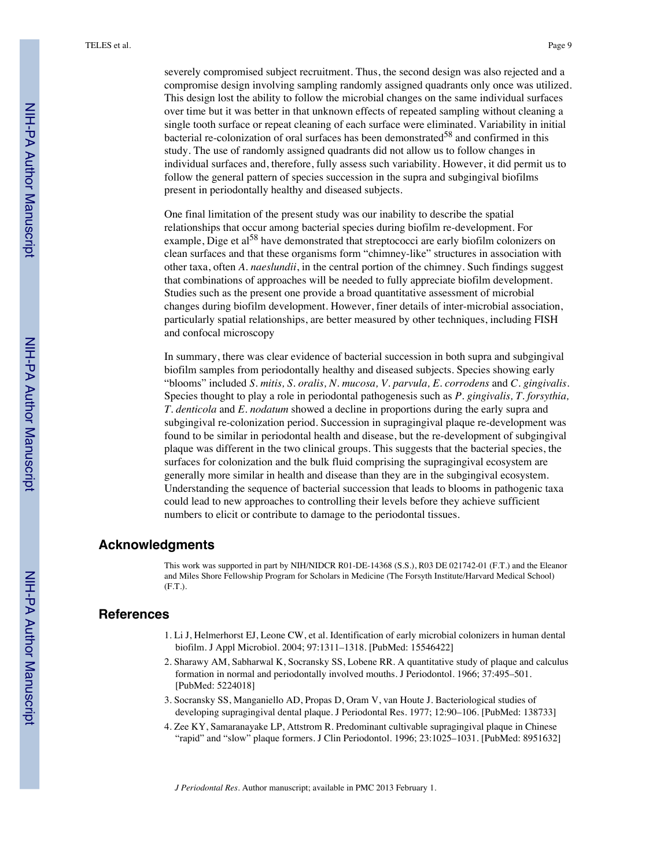severely compromised subject recruitment. Thus, the second design was also rejected and a compromise design involving sampling randomly assigned quadrants only once was utilized. This design lost the ability to follow the microbial changes on the same individual surfaces over time but it was better in that unknown effects of repeated sampling without cleaning a single tooth surface or repeat cleaning of each surface were eliminated. Variability in initial bacterial re-colonization of oral surfaces has been demonstrated<sup>58</sup> and confirmed in this study. The use of randomly assigned quadrants did not allow us to follow changes in individual surfaces and, therefore, fully assess such variability. However, it did permit us to follow the general pattern of species succession in the supra and subgingival biofilms present in periodontally healthy and diseased subjects.

One final limitation of the present study was our inability to describe the spatial relationships that occur among bacterial species during biofilm re-development. For example, Dige et al<sup>58</sup> have demonstrated that streptococci are early biofilm colonizers on clean surfaces and that these organisms form "chimney-like" structures in association with other taxa, often *A. naeslundii*, in the central portion of the chimney. Such findings suggest that combinations of approaches will be needed to fully appreciate biofilm development. Studies such as the present one provide a broad quantitative assessment of microbial changes during biofilm development. However, finer details of inter-microbial association, particularly spatial relationships, are better measured by other techniques, including FISH and confocal microscopy

In summary, there was clear evidence of bacterial succession in both supra and subgingival biofilm samples from periodontally healthy and diseased subjects. Species showing early "blooms" included *S. mitis, S. oralis, N. mucosa, V. parvula, E. corrodens* and *C. gingivalis*. Species thought to play a role in periodontal pathogenesis such as *P. gingivalis, T. forsythia, T. denticola* and *E. nodatum* showed a decline in proportions during the early supra and subgingival re-colonization period. Succession in supragingival plaque re-development was found to be similar in periodontal health and disease, but the re-development of subgingival plaque was different in the two clinical groups. This suggests that the bacterial species, the surfaces for colonization and the bulk fluid comprising the supragingival ecosystem are generally more similar in health and disease than they are in the subgingival ecosystem. Understanding the sequence of bacterial succession that leads to blooms in pathogenic taxa could lead to new approaches to controlling their levels before they achieve sufficient numbers to elicit or contribute to damage to the periodontal tissues.

#### **Acknowledgments**

This work was supported in part by NIH/NIDCR R01-DE-14368 (S.S.), R03 DE 021742-01 (F.T.) and the Eleanor and Miles Shore Fellowship Program for Scholars in Medicine (The Forsyth Institute/Harvard Medical School) (F.T.).

#### **References**

- 1. Li J, Helmerhorst EJ, Leone CW, et al. Identification of early microbial colonizers in human dental biofilm. J Appl Microbiol. 2004; 97:1311–1318. [PubMed: 15546422]
- 2. Sharawy AM, Sabharwal K, Socransky SS, Lobene RR. A quantitative study of plaque and calculus formation in normal and periodontally involved mouths. J Periodontol. 1966; 37:495–501. [PubMed: 5224018]
- 3. Socransky SS, Manganiello AD, Propas D, Oram V, van Houte J. Bacteriological studies of developing supragingival dental plaque. J Periodontal Res. 1977; 12:90–106. [PubMed: 138733]
- 4. Zee KY, Samaranayake LP, Attstrom R. Predominant cultivable supragingival plaque in Chinese "rapid" and "slow" plaque formers. J Clin Periodontol. 1996; 23:1025–1031. [PubMed: 8951632]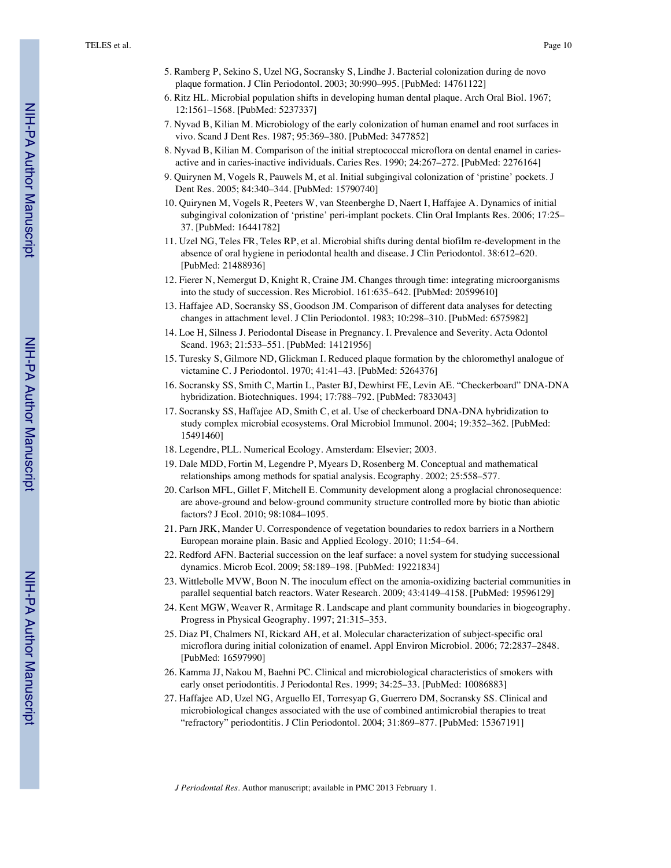- 5. Ramberg P, Sekino S, Uzel NG, Socransky S, Lindhe J. Bacterial colonization during de novo plaque formation. J Clin Periodontol. 2003; 30:990–995. [PubMed: 14761122]
- 6. Ritz HL. Microbial population shifts in developing human dental plaque. Arch Oral Biol. 1967; 12:1561–1568. [PubMed: 5237337]
- 7. Nyvad B, Kilian M. Microbiology of the early colonization of human enamel and root surfaces in vivo. Scand J Dent Res. 1987; 95:369–380. [PubMed: 3477852]
- 8. Nyvad B, Kilian M. Comparison of the initial streptococcal microflora on dental enamel in cariesactive and in caries-inactive individuals. Caries Res. 1990; 24:267–272. [PubMed: 2276164]
- 9. Quirynen M, Vogels R, Pauwels M, et al. Initial subgingival colonization of 'pristine' pockets. J Dent Res. 2005; 84:340–344. [PubMed: 15790740]
- 10. Quirynen M, Vogels R, Peeters W, van Steenberghe D, Naert I, Haffajee A. Dynamics of initial subgingival colonization of 'pristine' peri-implant pockets. Clin Oral Implants Res. 2006; 17:25– 37. [PubMed: 16441782]
- 11. Uzel NG, Teles FR, Teles RP, et al. Microbial shifts during dental biofilm re-development in the absence of oral hygiene in periodontal health and disease. J Clin Periodontol. 38:612–620. [PubMed: 21488936]
- 12. Fierer N, Nemergut D, Knight R, Craine JM. Changes through time: integrating microorganisms into the study of succession. Res Microbiol. 161:635–642. [PubMed: 20599610]
- 13. Haffajee AD, Socransky SS, Goodson JM. Comparison of different data analyses for detecting changes in attachment level. J Clin Periodontol. 1983; 10:298–310. [PubMed: 6575982]
- 14. Loe H, Silness J. Periodontal Disease in Pregnancy. I. Prevalence and Severity. Acta Odontol Scand. 1963; 21:533–551. [PubMed: 14121956]
- 15. Turesky S, Gilmore ND, Glickman I. Reduced plaque formation by the chloromethyl analogue of victamine C. J Periodontol. 1970; 41:41–43. [PubMed: 5264376]
- 16. Socransky SS, Smith C, Martin L, Paster BJ, Dewhirst FE, Levin AE. "Checkerboard" DNA-DNA hybridization. Biotechniques. 1994; 17:788–792. [PubMed: 7833043]
- 17. Socransky SS, Haffajee AD, Smith C, et al. Use of checkerboard DNA-DNA hybridization to study complex microbial ecosystems. Oral Microbiol Immunol. 2004; 19:352–362. [PubMed: 15491460]
- 18. Legendre, PLL. Numerical Ecology. Amsterdam: Elsevier; 2003.
- 19. Dale MDD, Fortin M, Legendre P, Myears D, Rosenberg M. Conceptual and mathematical relationships among methods for spatial analysis. Ecography. 2002; 25:558–577.
- 20. Carlson MFL, Gillet F, Mitchell E. Community development along a proglacial chronosequence: are above-ground and below-ground community structure controlled more by biotic than abiotic factors? J Ecol. 2010; 98:1084–1095.
- 21. Parn JRK, Mander U. Correspondence of vegetation boundaries to redox barriers in a Northern European moraine plain. Basic and Applied Ecology. 2010; 11:54–64.
- 22. Redford AFN. Bacterial succession on the leaf surface: a novel system for studying successional dynamics. Microb Ecol. 2009; 58:189–198. [PubMed: 19221834]
- 23. Wittlebolle MVW, Boon N. The inoculum effect on the amonia-oxidizing bacterial communities in parallel sequential batch reactors. Water Research. 2009; 43:4149–4158. [PubMed: 19596129]
- 24. Kent MGW, Weaver R, Armitage R. Landscape and plant community boundaries in biogeography. Progress in Physical Geography. 1997; 21:315–353.
- 25. Diaz PI, Chalmers NI, Rickard AH, et al. Molecular characterization of subject-specific oral microflora during initial colonization of enamel. Appl Environ Microbiol. 2006; 72:2837–2848. [PubMed: 16597990]
- 26. Kamma JJ, Nakou M, Baehni PC. Clinical and microbiological characteristics of smokers with early onset periodontitis. J Periodontal Res. 1999; 34:25–33. [PubMed: 10086883]
- 27. Haffajee AD, Uzel NG, Arguello EI, Torresyap G, Guerrero DM, Socransky SS. Clinical and microbiological changes associated with the use of combined antimicrobial therapies to treat "refractory" periodontitis. J Clin Periodontol. 2004; 31:869–877. [PubMed: 15367191]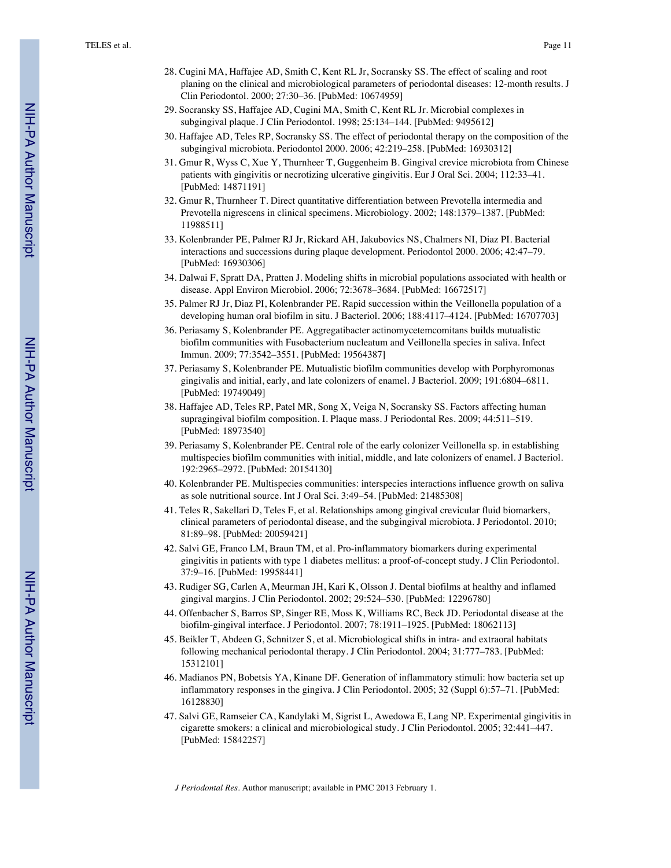- 28. Cugini MA, Haffajee AD, Smith C, Kent RL Jr, Socransky SS. The effect of scaling and root planing on the clinical and microbiological parameters of periodontal diseases: 12-month results. J Clin Periodontol. 2000; 27:30–36. [PubMed: 10674959]
- 29. Socransky SS, Haffajee AD, Cugini MA, Smith C, Kent RL Jr. Microbial complexes in subgingival plaque. J Clin Periodontol. 1998; 25:134–144. [PubMed: 9495612]
- 30. Haffajee AD, Teles RP, Socransky SS. The effect of periodontal therapy on the composition of the subgingival microbiota. Periodontol 2000. 2006; 42:219–258. [PubMed: 16930312]
- 31. Gmur R, Wyss C, Xue Y, Thurnheer T, Guggenheim B. Gingival crevice microbiota from Chinese patients with gingivitis or necrotizing ulcerative gingivitis. Eur J Oral Sci. 2004; 112:33–41. [PubMed: 14871191]
- 32. Gmur R, Thurnheer T. Direct quantitative differentiation between Prevotella intermedia and Prevotella nigrescens in clinical specimens. Microbiology. 2002; 148:1379–1387. [PubMed: 11988511]
- 33. Kolenbrander PE, Palmer RJ Jr, Rickard AH, Jakubovics NS, Chalmers NI, Diaz PI. Bacterial interactions and successions during plaque development. Periodontol 2000. 2006; 42:47–79. [PubMed: 16930306]
- 34. Dalwai F, Spratt DA, Pratten J. Modeling shifts in microbial populations associated with health or disease. Appl Environ Microbiol. 2006; 72:3678–3684. [PubMed: 16672517]
- 35. Palmer RJ Jr, Diaz PI, Kolenbrander PE. Rapid succession within the Veillonella population of a developing human oral biofilm in situ. J Bacteriol. 2006; 188:4117–4124. [PubMed: 16707703]
- 36. Periasamy S, Kolenbrander PE. Aggregatibacter actinomycetemcomitans builds mutualistic biofilm communities with Fusobacterium nucleatum and Veillonella species in saliva. Infect Immun. 2009; 77:3542–3551. [PubMed: 19564387]
- 37. Periasamy S, Kolenbrander PE. Mutualistic biofilm communities develop with Porphyromonas gingivalis and initial, early, and late colonizers of enamel. J Bacteriol. 2009; 191:6804–6811. [PubMed: 19749049]
- 38. Haffajee AD, Teles RP, Patel MR, Song X, Veiga N, Socransky SS. Factors affecting human supragingival biofilm composition. I. Plaque mass. J Periodontal Res. 2009; 44:511–519. [PubMed: 18973540]
- 39. Periasamy S, Kolenbrander PE. Central role of the early colonizer Veillonella sp. in establishing multispecies biofilm communities with initial, middle, and late colonizers of enamel. J Bacteriol. 192:2965–2972. [PubMed: 20154130]
- 40. Kolenbrander PE. Multispecies communities: interspecies interactions influence growth on saliva as sole nutritional source. Int J Oral Sci. 3:49–54. [PubMed: 21485308]
- 41. Teles R, Sakellari D, Teles F, et al. Relationships among gingival crevicular fluid biomarkers, clinical parameters of periodontal disease, and the subgingival microbiota. J Periodontol. 2010; 81:89–98. [PubMed: 20059421]
- 42. Salvi GE, Franco LM, Braun TM, et al. Pro-inflammatory biomarkers during experimental gingivitis in patients with type 1 diabetes mellitus: a proof-of-concept study. J Clin Periodontol. 37:9–16. [PubMed: 19958441]
- 43. Rudiger SG, Carlen A, Meurman JH, Kari K, Olsson J. Dental biofilms at healthy and inflamed gingival margins. J Clin Periodontol. 2002; 29:524–530. [PubMed: 12296780]
- 44. Offenbacher S, Barros SP, Singer RE, Moss K, Williams RC, Beck JD. Periodontal disease at the biofilm-gingival interface. J Periodontol. 2007; 78:1911–1925. [PubMed: 18062113]
- 45. Beikler T, Abdeen G, Schnitzer S, et al. Microbiological shifts in intra- and extraoral habitats following mechanical periodontal therapy. J Clin Periodontol. 2004; 31:777–783. [PubMed: 15312101]
- 46. Madianos PN, Bobetsis YA, Kinane DF. Generation of inflammatory stimuli: how bacteria set up inflammatory responses in the gingiva. J Clin Periodontol. 2005; 32 (Suppl 6):57–71. [PubMed: 16128830]
- 47. Salvi GE, Ramseier CA, Kandylaki M, Sigrist L, Awedowa E, Lang NP. Experimental gingivitis in cigarette smokers: a clinical and microbiological study. J Clin Periodontol. 2005; 32:441–447. [PubMed: 15842257]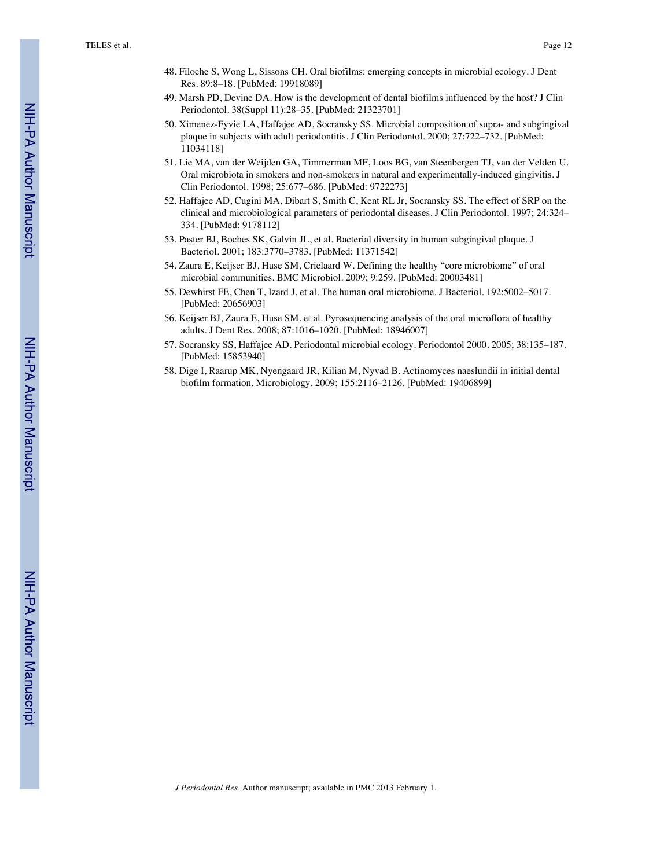- 48. Filoche S, Wong L, Sissons CH. Oral biofilms: emerging concepts in microbial ecology. J Dent Res. 89:8–18. [PubMed: 19918089]
- 49. Marsh PD, Devine DA. How is the development of dental biofilms influenced by the host? J Clin Periodontol. 38(Suppl 11):28–35. [PubMed: 21323701]
- 50. Ximenez-Fyvie LA, Haffajee AD, Socransky SS. Microbial composition of supra- and subgingival plaque in subjects with adult periodontitis. J Clin Periodontol. 2000; 27:722–732. [PubMed: 11034118]
- 51. Lie MA, van der Weijden GA, Timmerman MF, Loos BG, van Steenbergen TJ, van der Velden U. Oral microbiota in smokers and non-smokers in natural and experimentally-induced gingivitis. J Clin Periodontol. 1998; 25:677–686. [PubMed: 9722273]
- 52. Haffajee AD, Cugini MA, Dibart S, Smith C, Kent RL Jr, Socransky SS. The effect of SRP on the clinical and microbiological parameters of periodontal diseases. J Clin Periodontol. 1997; 24:324– 334. [PubMed: 9178112]
- 53. Paster BJ, Boches SK, Galvin JL, et al. Bacterial diversity in human subgingival plaque. J Bacteriol. 2001; 183:3770–3783. [PubMed: 11371542]
- 54. Zaura E, Keijser BJ, Huse SM, Crielaard W. Defining the healthy "core microbiome" of oral microbial communities. BMC Microbiol. 2009; 9:259. [PubMed: 20003481]
- 55. Dewhirst FE, Chen T, Izard J, et al. The human oral microbiome. J Bacteriol. 192:5002–5017. [PubMed: 20656903]
- 56. Keijser BJ, Zaura E, Huse SM, et al. Pyrosequencing analysis of the oral microflora of healthy adults. J Dent Res. 2008; 87:1016–1020. [PubMed: 18946007]
- 57. Socransky SS, Haffajee AD. Periodontal microbial ecology. Periodontol 2000. 2005; 38:135–187. [PubMed: 15853940]
- 58. Dige I, Raarup MK, Nyengaard JR, Kilian M, Nyvad B. Actinomyces naeslundii in initial dental biofilm formation. Microbiology. 2009; 155:2116–2126. [PubMed: 19406899]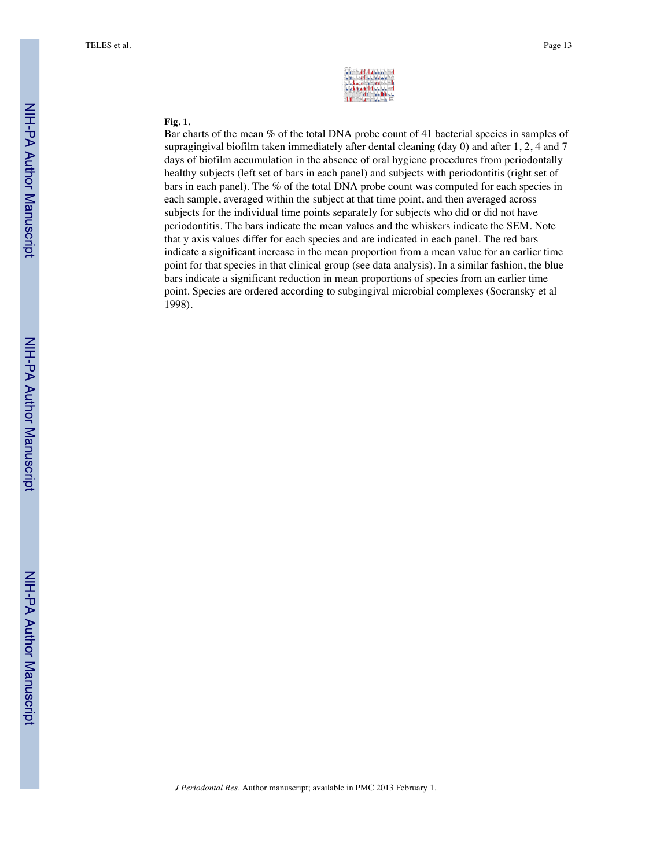| arm distance is                   |                                |                               |  |
|-----------------------------------|--------------------------------|-------------------------------|--|
|                                   | esenti la ciudade<br>A 44 DINA |                               |  |
| <b>Madrid Affinition Contract</b> |                                | finina Bhist.                 |  |
|                                   |                                | <b>Million Marketin Barry</b> |  |

#### **Fig. 1.**

Bar charts of the mean % of the total DNA probe count of 41 bacterial species in samples of supragingival biofilm taken immediately after dental cleaning (day 0) and after 1, 2, 4 and 7 days of biofilm accumulation in the absence of oral hygiene procedures from periodontally healthy subjects (left set of bars in each panel) and subjects with periodontitis (right set of bars in each panel). The % of the total DNA probe count was computed for each species in each sample, averaged within the subject at that time point, and then averaged across subjects for the individual time points separately for subjects who did or did not have periodontitis. The bars indicate the mean values and the whiskers indicate the SEM. Note that y axis values differ for each species and are indicated in each panel. The red bars indicate a significant increase in the mean proportion from a mean value for an earlier time point for that species in that clinical group (see data analysis). In a similar fashion, the blue bars indicate a significant reduction in mean proportions of species from an earlier time point. Species are ordered according to subgingival microbial complexes (Socransky et al 1998).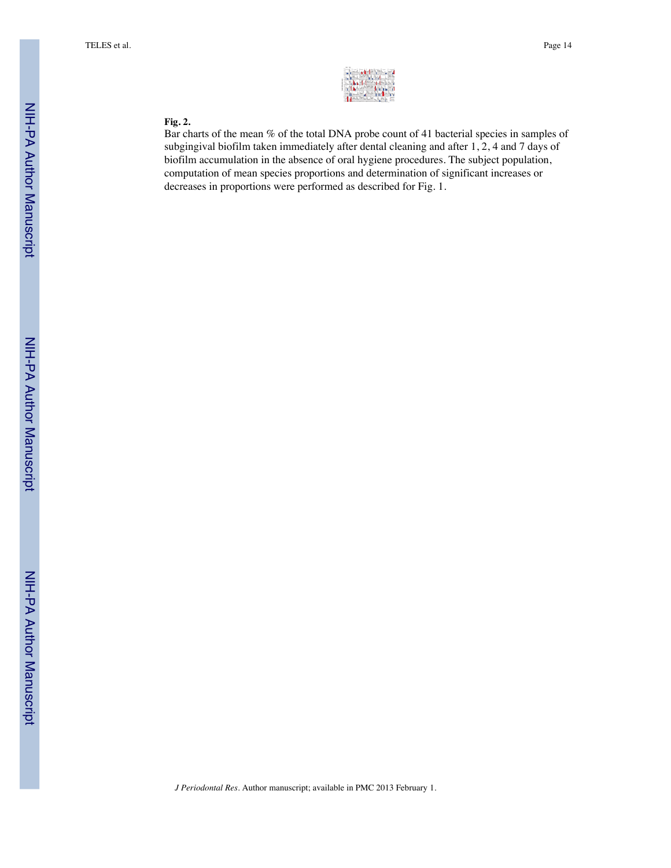

#### **Fig. 2.**

Bar charts of the mean % of the total DNA probe count of 41 bacterial species in samples of subgingival biofilm taken immediately after dental cleaning and after 1, 2, 4 and 7 days of biofilm accumulation in the absence of oral hygiene procedures. The subject population, computation of mean species proportions and determination of significant increases or decreases in proportions were performed as described for Fig. 1.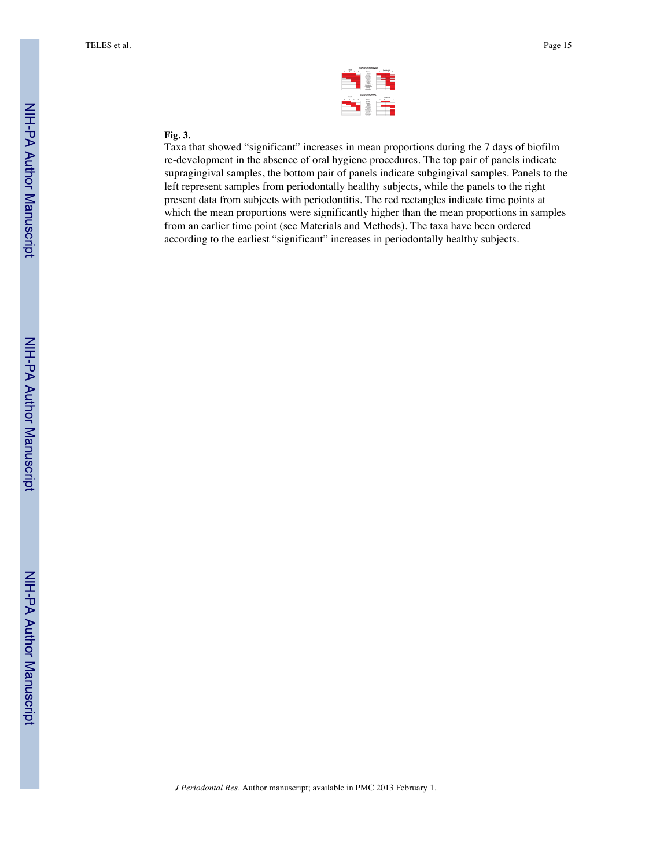|         |             |  |  |                  |   | 149.64 |                 |        |  |
|---------|-------------|--|--|------------------|---|--------|-----------------|--------|--|
| ٠       | $\cdots$    |  |  |                  | ٠ |        | ٠               | $\sim$ |  |
|         |             |  |  | $-1000$          |   |        |                 |        |  |
|         |             |  |  | 潙                |   |        |                 |        |  |
|         |             |  |  | œ                |   |        |                 |        |  |
|         |             |  |  | $-100$           |   |        |                 |        |  |
|         |             |  |  | œ<br>$\sim$<br>۰ |   |        | -               |        |  |
|         |             |  |  |                  |   |        |                 |        |  |
|         |             |  |  | 滢                |   |        |                 |        |  |
|         |             |  |  |                  |   |        |                 |        |  |
|         |             |  |  |                  |   |        |                 |        |  |
|         |             |  |  |                  |   |        |                 |        |  |
|         |             |  |  | SUBGINGINAL      |   |        |                 |        |  |
|         | <b>SAFE</b> |  |  |                  |   |        | <b>BUILDING</b> |        |  |
| and the |             |  |  |                  |   |        |                 |        |  |
|         |             |  |  | $-$              |   |        |                 |        |  |
|         |             |  |  | ÷                |   |        |                 |        |  |
|         |             |  |  | -                |   |        |                 |        |  |
|         |             |  |  | œ                |   |        |                 |        |  |
|         |             |  |  | e                |   |        |                 |        |  |
|         |             |  |  | x<br>w.<br>--    |   |        |                 |        |  |

### **Fig. 3.**

Taxa that showed "significant" increases in mean proportions during the 7 days of biofilm re-development in the absence of oral hygiene procedures. The top pair of panels indicate supragingival samples, the bottom pair of panels indicate subgingival samples. Panels to the left represent samples from periodontally healthy subjects, while the panels to the right present data from subjects with periodontitis. The red rectangles indicate time points at which the mean proportions were significantly higher than the mean proportions in samples from an earlier time point (see Materials and Methods). The taxa have been ordered according to the earliest "significant" increases in periodontally healthy subjects.